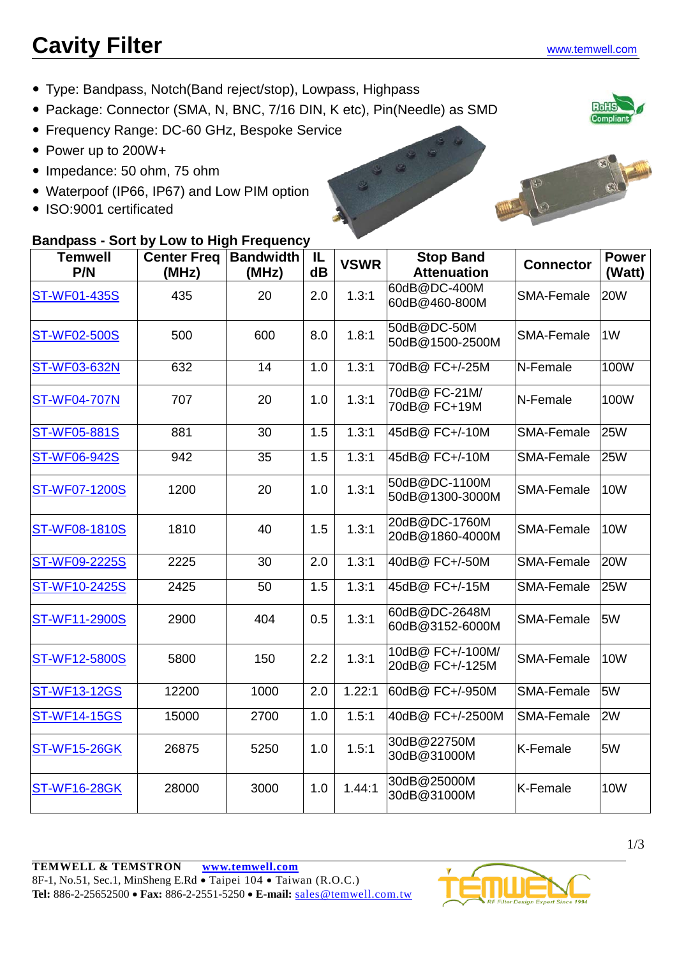# **Cavity Filter** [www.temwell.com](http://www.temwell.com/)

- Type: Bandpass, Notch(Band reject/stop), Lowpass, Highpass
- Package: Connector (SMA, N, BNC, 7/16 DIN, K etc), Pin(Needle) as SMD
- Frequency Range: DC-60 GHz, Bespoke Service
- Power up to 200W+
- Impedance: 50 ohm, 75 ohm
- Waterpoof (IP66, IP67) and Low PIM option
- ISO:9001 certificated

### **Bandpass - Sort by Low to High Frequency**

| <b>Temwell</b><br>P/N | <b>Center Freq</b><br>(MHz) | <b>Bandwidth</b><br>(MHz) | IL<br>dB | <b>VSWR</b> | <b>Stop Band</b><br><b>Attenuation</b> | <b>Connector</b>  | <b>Power</b><br>(Watt) |
|-----------------------|-----------------------------|---------------------------|----------|-------------|----------------------------------------|-------------------|------------------------|
| <b>ST-WF01-435S</b>   | 435                         | 20                        | 2.0      | 1.3:1       | 60dB@DC-400M<br>60dB@460-800M          | <b>SMA-Female</b> | <b>20W</b>             |
| <b>ST-WF02-500S</b>   | 500                         | 600                       | 8.0      | 1.8:1       | 50dB@DC-50M<br>50dB@1500-2500M         | <b>SMA-Female</b> | 1 <sub>W</sub>         |
| <b>ST-WF03-632N</b>   | 632                         | 14                        | 1.0      | 1.3:1       | 70dB@FC+/-25M                          | N-Female          | 100W                   |
| <b>ST-WF04-707N</b>   | 707                         | 20                        | 1.0      | 1.3:1       | 70dB@ FC-21M/<br>70dB@ FC+19M          | N-Female          | 100W                   |
| <b>ST-WF05-881S</b>   | 881                         | 30                        | 1.5      | 1.3:1       | 45dB@ FC+/-10M                         | <b>SMA-Female</b> | <b>25W</b>             |
| <b>ST-WF06-942S</b>   | 942                         | 35                        | 1.5      | 1.3:1       | 45dB@ FC+/-10M                         | SMA-Female        | 25W                    |
| <b>ST-WF07-1200S</b>  | 1200                        | 20                        | 1.0      | 1.3:1       | 50dB@DC-1100M<br>50dB@1300-3000M       | <b>SMA-Female</b> | 10W                    |
| ST-WF08-1810S         | 1810                        | 40                        | 1.5      | 1.3:1       | 20dB@DC-1760M<br>20dB@1860-4000M       | <b>SMA-Female</b> | <b>10W</b>             |
| <b>ST-WF09-2225S</b>  | 2225                        | 30                        | 2.0      | 1.3:1       | 40dB@ FC+/-50M                         | <b>SMA-Female</b> | <b>20W</b>             |
| <b>ST-WF10-2425S</b>  | 2425                        | 50                        | 1.5      | 1.3:1       | 45dB@ FC+/-15M                         | <b>SMA-Female</b> | 25W                    |
| <b>ST-WF11-2900S</b>  | 2900                        | 404                       | 0.5      | 1.3:1       | 60dB@DC-2648M<br>60dB@3152-6000M       | <b>SMA-Female</b> | 5W                     |
| ST-WF12-5800S         | 5800                        | 150                       | 2.2      | 1.3:1       | 10dB@ FC+/-100M/<br>20dB@FC+/-125M     | <b>SMA-Female</b> | <b>10W</b>             |
| <b>ST-WF13-12GS</b>   | 12200                       | 1000                      | 2.0      | 1.22:1      | 60dB@FC+/-950M                         | SMA-Female        | 5W                     |
| <b>ST-WF14-15GS</b>   | 15000                       | 2700                      | 1.0      | 1.5:1       | 40dB@ FC+/-2500M                       | <b>SMA-Female</b> | 2W                     |
| <b>ST-WF15-26GK</b>   | 26875                       | 5250                      | 1.0      | 1.5:1       | 30dB@22750M<br>30dB@31000M             | K-Female          | 5W                     |
| <b>ST-WF16-28GK</b>   | 28000                       | 3000                      | 1.0      | 1.44:1      | 30dB@25000M<br>30dB@31000M             | K-Female          | <b>10W</b>             |





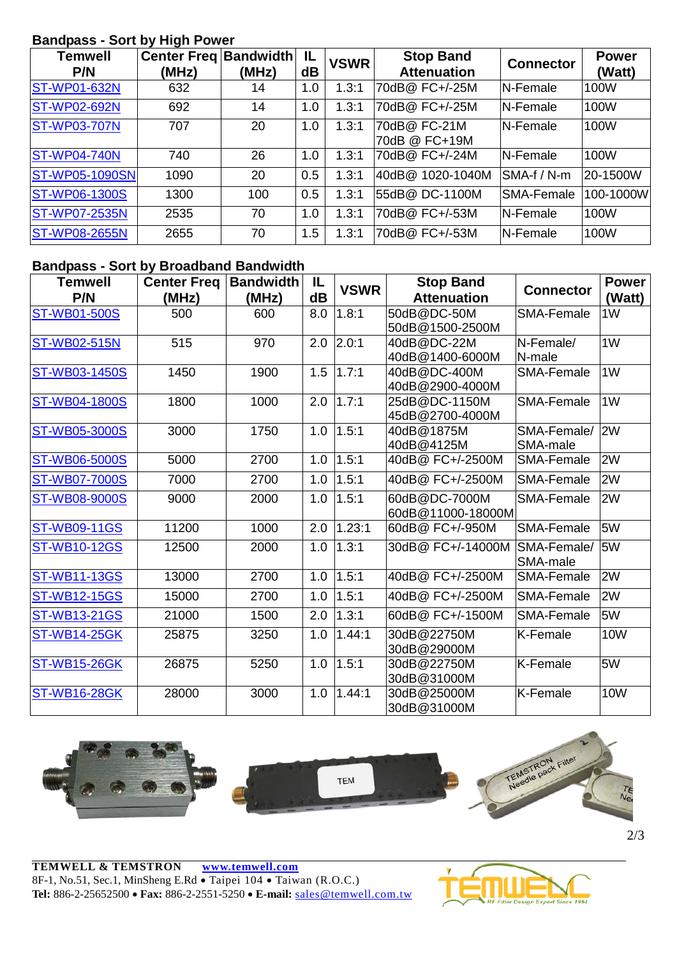#### **Bandpass - Sort by High Power**

| Puliumuv              |                                       |       |          |             |                                        |                   |                        |
|-----------------------|---------------------------------------|-------|----------|-------------|----------------------------------------|-------------------|------------------------|
| Temwell<br>P/N        | <b>Center Freg Bandwidth</b><br>(MHz) | (MHz) | IL<br>dB | <b>VSWR</b> | <b>Stop Band</b><br><b>Attenuation</b> | <b>Connector</b>  | <b>Power</b><br>(Watt) |
| <b>ST-WP01-632N</b>   | 632                                   | 14    | 1.0      | 1.3:1       | 70dB@ FC+/-25M                         | N-Female          | 100W                   |
| <b>ST-WP02-692N</b>   | 692                                   | 14    | 1.0      | 1.3:1       | 70dB@ FC+/-25M                         | N-Female          | 100W                   |
| <b>ST-WP03-707N</b>   | 707                                   | 20    | 1.0      | 1.3:1       | 70dB@ FC-21M<br>70dB @ FC+19M          | N-Female          | 100W                   |
| <b>ST-WP04-740N</b>   | 740                                   | 26    | 1.0      | 1.3:1       | 70dB@ FC+/-24M                         | <b>N-Female</b>   | 100W                   |
| <b>ST-WP05-1090SN</b> | 1090                                  | 20    | 0.5      | 1.3:1       | 40dB@ 1020-1040M                       | SMA-f / N-m       | 20-1500W               |
| <b>ST-WP06-1300S</b>  | 1300                                  | 100   | 0.5      | 1.3:1       | 55dB@DC-1100M                          | <b>SMA-Female</b> | 100-1000W              |
| <b>ST-WP07-2535N</b>  | 2535                                  | 70    | 1.0      | 1.3:1       | 70dB@ FC+/-53M                         | N-Female          | 100W                   |
| <b>ST-WP08-2655N</b>  | 2655                                  | 70    | 1.5      | 1.3:1       | 70dB@ FC+/-53M                         | N-Female          | 100W                   |

#### **Bandpass - Sort by Broadband Bandwidth**

| <b>Temwell</b>       | <b>Center Freq</b> | <b>Bandwidth</b> | IL            | <b>VSWR</b> | <b>Stop Band</b>   | <b>Connector</b>  | <b>Power</b>   |
|----------------------|--------------------|------------------|---------------|-------------|--------------------|-------------------|----------------|
| P/N                  | (MHz)              | (MHz)            | $\mathbf{dB}$ |             | <b>Attenuation</b> |                   | (Watt)         |
| <b>ST-WB01-500S</b>  | 500                | 600              | 8.0           | 1.8:1       | 50dB@DC-50M        | <b>SMA-Female</b> | 1W             |
|                      |                    |                  |               |             | 50dB@1500-2500M    |                   |                |
| <b>ST-WB02-515N</b>  | 515                | 970              | 2.0           | 2.0:1       | 40dB@DC-22M        | N-Female/         | 1W             |
|                      |                    |                  |               |             | 40dB@1400-6000M    | N-male            |                |
| ST-WB03-1450S        | 1450               | 1900             | 1.5           | 1.7:1       | 40dB@DC-400M       | <b>SMA-Female</b> | 1 <sub>W</sub> |
|                      |                    |                  |               |             | 40dB@2900-4000M    |                   |                |
| <b>ST-WB04-1800S</b> | 1800               | 1000             | 2.0           | 1.7:1       | 25dB@DC-1150M      | SMA-Female        | 1W             |
|                      |                    |                  |               |             | 45dB@2700-4000M    |                   |                |
| <b>ST-WB05-3000S</b> | 3000               | 1750             | 1.0           | 1.5:1       | 40dB@1875M         | SMA-Female/       | 2W             |
|                      |                    |                  |               |             | 40dB@4125M         | SMA-male          |                |
| <b>ST-WB06-5000S</b> | 5000               | 2700             | 1.0           | 1.5:1       | 40dB@ FC+/-2500M   | <b>SMA-Female</b> | 2W             |
| <b>ST-WB07-7000S</b> | 7000               | 2700             | 1.0           | 1.5:1       | 40dB@ FC+/-2500M   | <b>SMA-Female</b> | 2W             |
| <b>ST-WB08-9000S</b> | 9000               | 2000             | 1.0           | 1.5:1       | 60dB@DC-7000M      | <b>SMA-Female</b> | 2W             |
|                      |                    |                  |               |             | 60dB@11000-18000M  |                   |                |
| <b>ST-WB09-11GS</b>  | 11200              | 1000             | 2.0           | 1.23:1      | 60dB@ FC+/-950M    | SMA-Female        | 5W             |
| <b>ST-WB10-12GS</b>  | 12500              | 2000             | 1.0           | 1.3:1       | 30dB@ FC+/-14000M  | SMA-Female/       | 5W             |
|                      |                    |                  |               |             |                    | SMA-male          |                |
| <b>ST-WB11-13GS</b>  | 13000              | 2700             | 1.0           | 1.5:1       | 40dB@ FC+/-2500M   | SMA-Female        | 2W             |
| <b>ST-WB12-15GS</b>  | 15000              | 2700             | 1.0           | 1.5:1       | 40dB@ FC+/-2500M   | <b>SMA-Female</b> | 2W             |
| <b>ST-WB13-21GS</b>  | 21000              | 1500             | 2.0           | 1.3:1       | 60dB@ FC+/-1500M   | SMA-Female        | 5W             |
| <b>ST-WB14-25GK</b>  | 25875              | 3250             | 1.0           | 1.44:1      | 30dB@22750M        | K-Female          | <b>10W</b>     |
|                      |                    |                  |               |             | 30dB@29000M        |                   |                |
| <b>ST-WB15-26GK</b>  | 26875              | 5250             | 1.0           | 1.5:1       | 30dB@22750M        | K-Female          | 5W             |
|                      |                    |                  |               |             | 30dB@31000M        |                   |                |
| <b>ST-WB16-28GK</b>  | 28000              | 3000             | 1.0           | 1.44:1      | 30dB@25000M        | K-Female          | <b>10W</b>     |
|                      |                    |                  |               |             | 30dB@31000M        |                   |                |